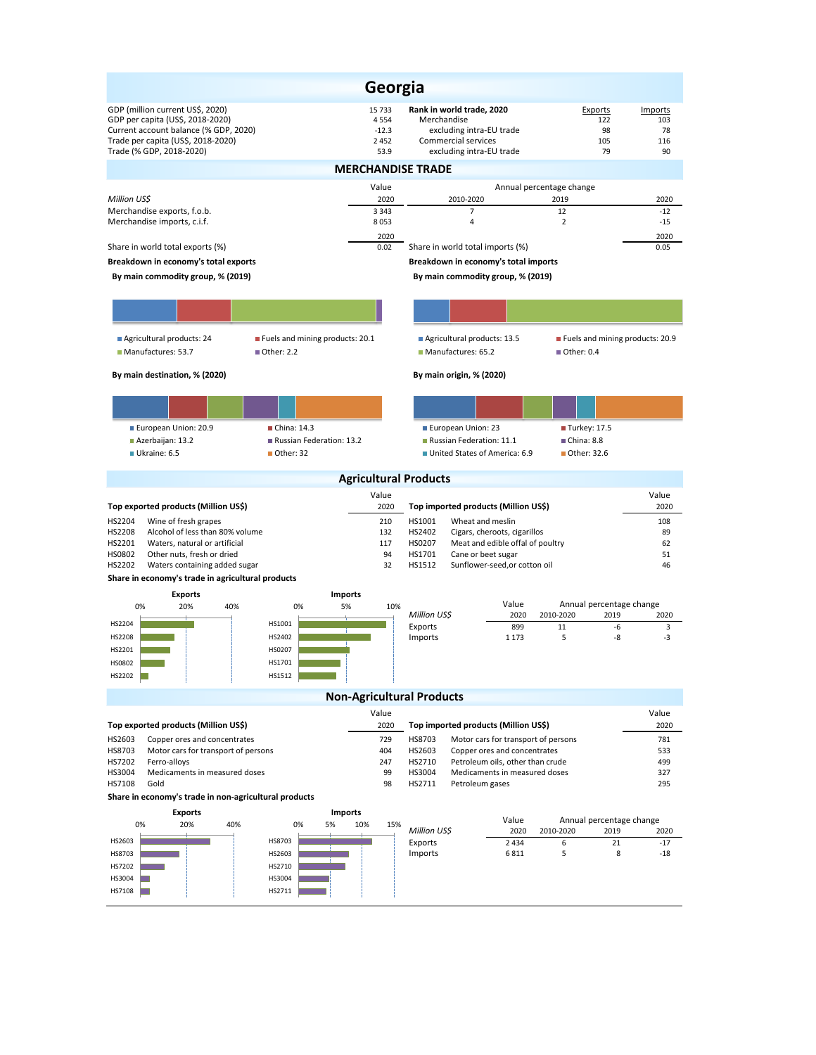| Georgia                                                                                                                                                                         |                                       |                                              |                                                                                                                         |                                               |                                          |  |  |  |  |  |  |
|---------------------------------------------------------------------------------------------------------------------------------------------------------------------------------|---------------------------------------|----------------------------------------------|-------------------------------------------------------------------------------------------------------------------------|-----------------------------------------------|------------------------------------------|--|--|--|--|--|--|
| GDP (million current US\$, 2020)<br>GDP per capita (US\$, 2018-2020)<br>Current account balance (% GDP, 2020)<br>Trade per capita (US\$, 2018-2020)<br>Trade (% GDP, 2018-2020) |                                       | 15 733<br>4554<br>$-12.3$<br>2 4 5 2<br>53.9 | Rank in world trade, 2020<br>Merchandise<br>excluding intra-EU trade<br>Commercial services<br>excluding intra-EU trade | Exports<br>122<br>98<br>105<br>79             | <b>Imports</b><br>103<br>78<br>116<br>90 |  |  |  |  |  |  |
| <b>MERCHANDISE TRADE</b>                                                                                                                                                        |                                       |                                              |                                                                                                                         |                                               |                                          |  |  |  |  |  |  |
| Million US\$                                                                                                                                                                    |                                       | Value<br>2020                                | 2010-2020                                                                                                               | Annual percentage change<br>2019              | 2020                                     |  |  |  |  |  |  |
| Merchandise exports, f.o.b.                                                                                                                                                     |                                       | 3 3 4 3                                      | $\overline{7}$                                                                                                          | 12                                            | $-12$                                    |  |  |  |  |  |  |
| Merchandise imports, c.i.f.                                                                                                                                                     |                                       | 8053<br>2020                                 | 4                                                                                                                       | $\overline{2}$                                | $-15$<br>2020                            |  |  |  |  |  |  |
| Share in world total exports (%)                                                                                                                                                |                                       | 0.02                                         | Share in world total imports (%)                                                                                        |                                               | 0.05                                     |  |  |  |  |  |  |
| Breakdown in economy's total exports<br>By main commodity group, % (2019)                                                                                                       |                                       |                                              | Breakdown in economy's total imports<br>By main commodity group, % (2019)                                               |                                               |                                          |  |  |  |  |  |  |
|                                                                                                                                                                                 |                                       |                                              |                                                                                                                         |                                               |                                          |  |  |  |  |  |  |
|                                                                                                                                                                                 |                                       |                                              |                                                                                                                         |                                               |                                          |  |  |  |  |  |  |
| Agricultural products: 24                                                                                                                                                       | Fuels and mining products: 20.1       |                                              | Agricultural products: 13.5                                                                                             | Fuels and mining products: 20.9               |                                          |  |  |  |  |  |  |
| Manufactures: 53.7                                                                                                                                                              | ■ Other: 2.2                          |                                              | Manufactures: 65.2                                                                                                      | ■ Other: 0.4                                  |                                          |  |  |  |  |  |  |
| By main destination, % (2020)                                                                                                                                                   |                                       |                                              | By main origin, % (2020)                                                                                                |                                               |                                          |  |  |  |  |  |  |
|                                                                                                                                                                                 |                                       |                                              |                                                                                                                         |                                               |                                          |  |  |  |  |  |  |
| European Union: 20.9                                                                                                                                                            | China: 14.3                           |                                              | European Union: 23                                                                                                      | Turkey: 17.5                                  |                                          |  |  |  |  |  |  |
| Azerbaijan: 13.2<br>Ukraine: 6.5                                                                                                                                                | Russian Federation: 13.2<br>Other: 32 |                                              | Russian Federation: 11.1<br>United States of America: 6.9                                                               | China: 8.8<br>■ Other: 32.6                   |                                          |  |  |  |  |  |  |
|                                                                                                                                                                                 |                                       |                                              |                                                                                                                         |                                               |                                          |  |  |  |  |  |  |
|                                                                                                                                                                                 |                                       | <b>Agricultural Products</b><br>Value        |                                                                                                                         |                                               | Value                                    |  |  |  |  |  |  |
| Top exported products (Million US\$)                                                                                                                                            |                                       | 2020                                         | Top imported products (Million US\$)                                                                                    |                                               | 2020                                     |  |  |  |  |  |  |
| HS2204<br>Wine of fresh grapes<br>HS2208<br>Alcohol of less than 80% volume                                                                                                     |                                       | 210<br>132                                   | HS1001<br>Wheat and meslin<br>HS2402<br>Cigars, cheroots, cigarillos                                                    |                                               | 108<br>89                                |  |  |  |  |  |  |
| HS2201<br>Waters, natural or artificial                                                                                                                                         |                                       | 117                                          | HS0207<br>Meat and edible offal of poultry                                                                              |                                               | 62                                       |  |  |  |  |  |  |
| HS0802<br>Other nuts, fresh or dried<br>HS2202<br>Waters containing added sugar                                                                                                 |                                       | 94<br>32                                     | HS1701<br>Cane or beet sugar<br>HS1512<br>Sunflower-seed, or cotton oil                                                 |                                               | 51<br>46                                 |  |  |  |  |  |  |
| Share in economy's trade in agricultural products                                                                                                                               |                                       |                                              |                                                                                                                         |                                               |                                          |  |  |  |  |  |  |
| <b>Exports</b>                                                                                                                                                                  | <b>Imports</b>                        |                                              |                                                                                                                         |                                               |                                          |  |  |  |  |  |  |
| 0%<br>20%<br>40%                                                                                                                                                                | 0%<br>5%                              | 10%                                          | Value<br>Million US\$<br>2020                                                                                           | Annual percentage change<br>2010-2020<br>2019 | 2020                                     |  |  |  |  |  |  |
| HS2204<br><b>HS2208</b>                                                                                                                                                         | HS1001<br>HS2402                      |                                              | Exports<br>899<br>Imports<br>1 1 7 3                                                                                    | 11<br>-6<br>-8<br>5                           | 3<br>-3                                  |  |  |  |  |  |  |
| HS2201                                                                                                                                                                          | HS0207                                |                                              |                                                                                                                         |                                               |                                          |  |  |  |  |  |  |
| HS0802                                                                                                                                                                          | HS1701                                |                                              |                                                                                                                         |                                               |                                          |  |  |  |  |  |  |
| HS2202                                                                                                                                                                          | HS1512                                |                                              |                                                                                                                         |                                               |                                          |  |  |  |  |  |  |
| <b>Non-Agricultural Products</b>                                                                                                                                                |                                       |                                              |                                                                                                                         |                                               |                                          |  |  |  |  |  |  |
|                                                                                                                                                                                 |                                       | Value                                        |                                                                                                                         |                                               | Value                                    |  |  |  |  |  |  |
| Top exported products (Million US\$)<br>HS2603<br>Copper ores and concentrates                                                                                                  |                                       | 2020<br>729                                  | Top imported products (Million US\$)<br>Motor cars for transport of persons<br>HS8703                                   |                                               | 2020<br>781                              |  |  |  |  |  |  |
| HS8703<br>Motor cars for transport of persons                                                                                                                                   |                                       | 404                                          | HS2603<br>Copper ores and concentrates                                                                                  |                                               | 533                                      |  |  |  |  |  |  |
| HS7202<br>Ferro-alloys                                                                                                                                                          |                                       | 247                                          | HS2710<br>Petroleum oils, other than crude                                                                              |                                               | 499                                      |  |  |  |  |  |  |
| Medicaments in measured doses<br>HS3004<br>HS7108<br>Gold                                                                                                                       |                                       | 99<br>98                                     | HS3004<br>Medicaments in measured doses<br>HS2711<br>Petroleum gases                                                    |                                               | 327<br>295                               |  |  |  |  |  |  |
| Share in economy's trade in non-agricultural products                                                                                                                           |                                       |                                              |                                                                                                                         |                                               |                                          |  |  |  |  |  |  |
| <b>Exports</b><br>Imports<br>Value<br>Annual percentage change                                                                                                                  |                                       |                                              |                                                                                                                         |                                               |                                          |  |  |  |  |  |  |
| 0%<br>20%<br>40%                                                                                                                                                                | 0%<br>5%                              | 10%<br>15%                                   | Million US\$<br>2020                                                                                                    | 2010-2020<br>2019                             | 2020                                     |  |  |  |  |  |  |
| HS2603<br>HS8703                                                                                                                                                                | HS8703<br>HS2603                      |                                              | 2 4 3 4<br>Exports<br>Imports<br>6811                                                                                   | 6<br>21<br>5<br>8                             | $-17$<br>$-18$                           |  |  |  |  |  |  |
| HS7202                                                                                                                                                                          | HS2710                                |                                              |                                                                                                                         |                                               |                                          |  |  |  |  |  |  |
| HS3004                                                                                                                                                                          | HS3004                                |                                              |                                                                                                                         |                                               |                                          |  |  |  |  |  |  |
| HS7108                                                                                                                                                                          | HS2711                                |                                              |                                                                                                                         |                                               |                                          |  |  |  |  |  |  |
|                                                                                                                                                                                 |                                       |                                              |                                                                                                                         |                                               |                                          |  |  |  |  |  |  |